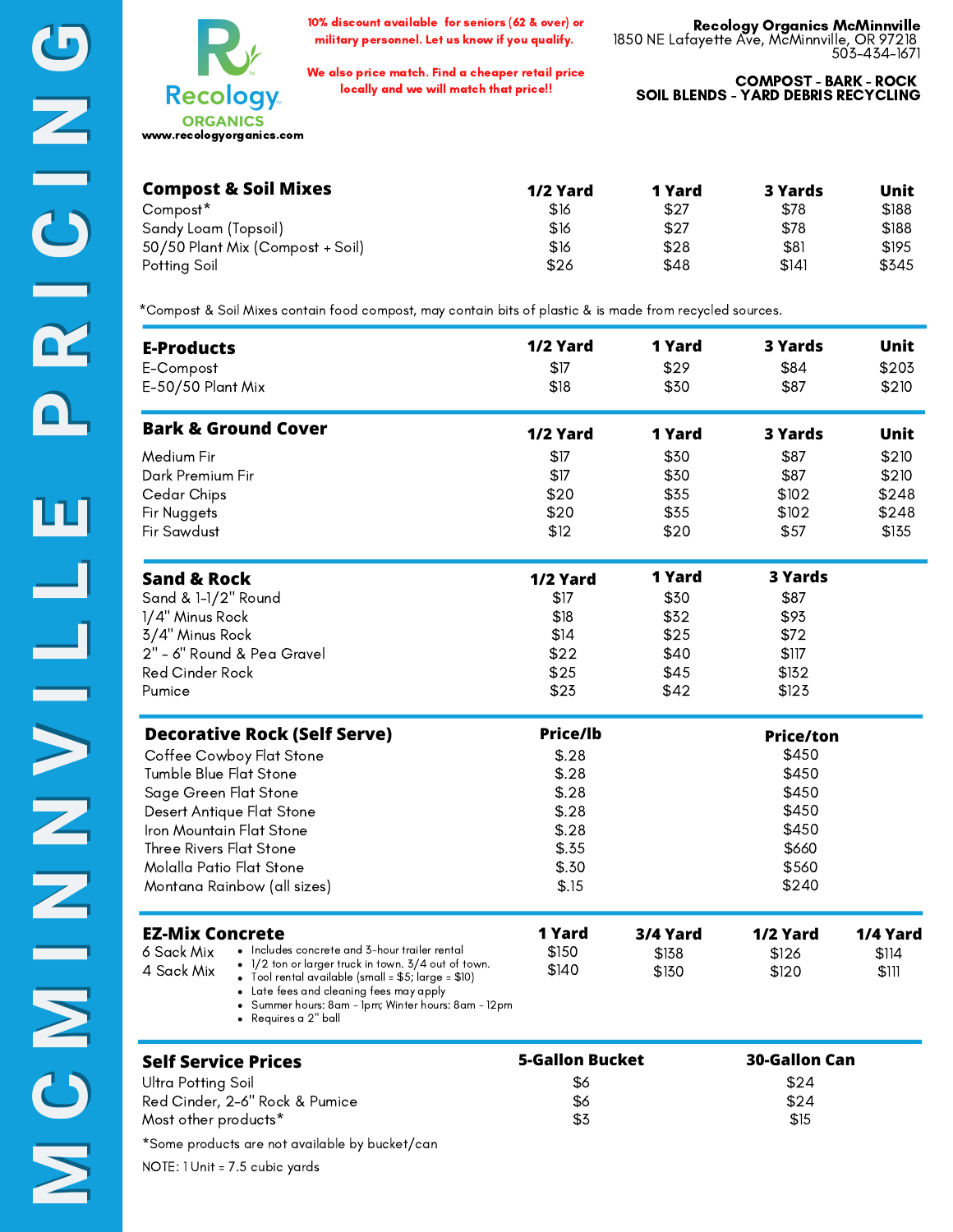10% discount available for seniors (62 & over) or military personnel. Let us know if you qualify.

We also price match. Find a cheaper retail price locally and we will match that price!!

COMPOST - BARK - ROCK SOIL BLENDS - YARD DEBRIS RECYCLING

| <b>Compost &amp; Soil Mixes</b>  | 1/2 Yard | 1 Yard | 3 Yards | Unit  |
|----------------------------------|----------|--------|---------|-------|
| Compost <sup>*</sup>             | \$16     | \$27   | \$78    | \$188 |
| Sandy Loam (Topsoil)             | \$16     | \$27   | \$78    | \$188 |
| 50/50 Plant Mix (Compost + Soil) | \$16     | \$28   | \$81    | \$195 |
| Potting Soil                     | \$26     | \$48   | \$141   | \$345 |

\*Compost & Soil Mixes contain food compost, may contain bits of plastic & is made from recycled sources.

| <b>E-Products</b>                                                                                                                    | 1/2 Yard               | 1 Yard   | <b>3 Yards</b>       | Unit     |
|--------------------------------------------------------------------------------------------------------------------------------------|------------------------|----------|----------------------|----------|
| E-Compost                                                                                                                            | \$17                   | \$29     | \$84                 | \$203    |
| E-50/50 Plant Mix                                                                                                                    | \$18                   | \$30     | \$87                 | \$210    |
| <b>Bark &amp; Ground Cover</b>                                                                                                       | 1/2 Yard               | 1 Yard   | <b>3 Yards</b>       | Unit     |
| Medium Fir                                                                                                                           | \$17                   | \$30     | \$87                 | \$210    |
| Dark Premium Fir                                                                                                                     | \$17                   | \$30     | \$87                 | \$210    |
| Cedar Chips                                                                                                                          | \$20                   | \$35     | \$102                | \$248    |
| Fir Nuggets                                                                                                                          | \$20                   | \$35     | \$102                | \$248    |
| Fir Sawdust                                                                                                                          | \$12                   | \$20     | \$57                 | \$135    |
| <b>Sand &amp; Rock</b>                                                                                                               | 1/2 Yard               | 1 Yard   | 3 Yards              |          |
| Sand & 1-1/2" Round                                                                                                                  | \$17                   | \$30     | \$87                 |          |
| 1/4" Minus Rock                                                                                                                      | \$18                   | \$32     | \$93                 |          |
| 3/4" Minus Rock                                                                                                                      | \$14                   | \$25     | \$72                 |          |
| 2" - 6" Round & Pea Gravel                                                                                                           | \$22                   | \$40     | \$117                |          |
| Red Cinder Rock                                                                                                                      | \$25                   | \$45     | \$132                |          |
| Pumice                                                                                                                               | \$23                   | \$42     | \$123                |          |
| <b>Decorative Rock (Self Serve)</b>                                                                                                  | <b>Price/lb</b>        |          | <b>Price/ton</b>     |          |
| Coffee Cowboy Flat Stone                                                                                                             | \$.28                  |          | \$450                |          |
| Tumble Blue Flat Stone                                                                                                               | \$.28                  |          | \$450                |          |
| Sage Green Flat Stone                                                                                                                | \$.28                  |          | \$450                |          |
| Desert Antique Flat Stone                                                                                                            | \$.28                  |          | \$450                |          |
| Iron Mountain Flat Stone                                                                                                             | \$.28                  |          | \$450                |          |
| Three Rivers Flat Stone                                                                                                              | \$.35                  |          | \$660                |          |
| Molalla Patio Flat Stone                                                                                                             | \$.30                  |          | \$560                |          |
| Montana Rainbow (all sizes)                                                                                                          | \$.15                  |          | \$240                |          |
| <b>EZ-Mix Concrete</b>                                                                                                               | 1 Yard                 | 3/4 Yard | 1/2 Yard             | 1/4 Yard |
| • Includes concrete and 3-hour trailer rental<br>6 Sack Mix                                                                          | \$150                  | \$138    | \$126                | \$114    |
| $\bullet$ 1/2 ton or larger truck in town. 3/4 out of town.<br>4 Sack Mix<br>• Tool rental available (small = $$5$ ; large = $$10$ ) | \$140                  | \$130    | \$120                | \$111    |
| Late fees and cleaning fees may apply<br>Summer hours: 8am - 1pm; Winter hours: 8am - 12pm<br>Requires a 2" ball                     |                        |          |                      |          |
| <b>Self Service Prices</b>                                                                                                           | <b>5-Gallon Bucket</b> |          | <b>30-Gallon Can</b> |          |
| <b>Ultra Potting Soil</b>                                                                                                            | \$6                    |          | \$24                 |          |
| Red Cinder, 2-6" Rock & Pumice                                                                                                       | \$6                    |          | \$24                 |          |
| Most other products*                                                                                                                 | \$3                    |          | \$15                 |          |

\*Some products are not available by bucket/can

NOTE: 1 Unit = 7.5 cubic yards

**I**

**I** 

**N**

**N**

**G**

**G**